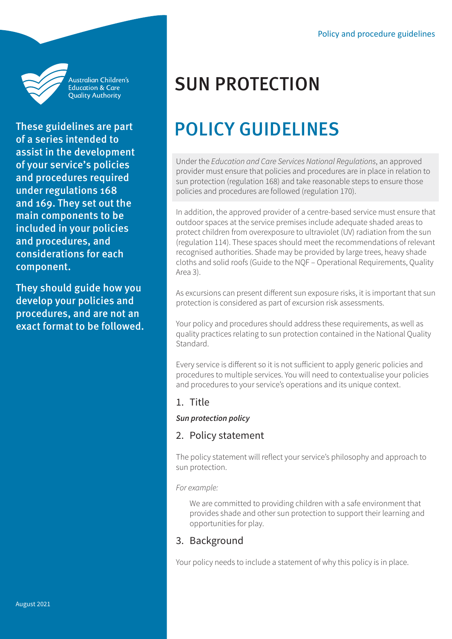

Australian Children's **Education & Care** Quality Authority

These guidelines are part of a series intended to assist in the development of your service's policies and procedures required under regulations 168 and 169. They set out the main components to be included in your policies and procedures, and considerations for each component.

They should guide how you develop your policies and procedures, and are not an exact format to be followed.

# SUN PROTECTION

# POLICY GUIDELINES

Under the *Education and Care Services National Regulations*, an approved provider must ensure that policies and procedures are in place in relation to sun protection (regulation 168) and take reasonable steps to ensure those policies and procedures are followed (regulation 170).

In addition, the approved provider of a centre-based service must ensure that outdoor spaces at the service premises include adequate shaded areas to protect children from overexposure to ultraviolet (UV) radiation from the sun (regulation 114). These spaces should meet the recommendations of relevant recognised authorities. Shade may be provided by large trees, heavy shade cloths and solid roofs (Guide to the NQF – Operational Requirements, Quality Area 3).

As excursions can present different sun exposure risks, it is important that sun protection is considered as part of excursion risk assessments.

Your policy and procedures should address these requirements, as well as quality practices relating to sun protection contained in the National Quality Standard.

Every service is different so it is not sufficient to apply generic policies and procedures to multiple services. You will need to contextualise your policies and procedures to your service's operations and its unique context.

## 1. Title

#### *Sun protection policy*

#### 2. Policy statement

The policy statement will reflect your service's philosophy and approach to sun protection.

*For example:* 

We are committed to providing children with a safe environment that provides shade and other sun protection to support their learning and opportunities for play.

## 3. Background

Your policy needs to include a statement of why this policy is in place.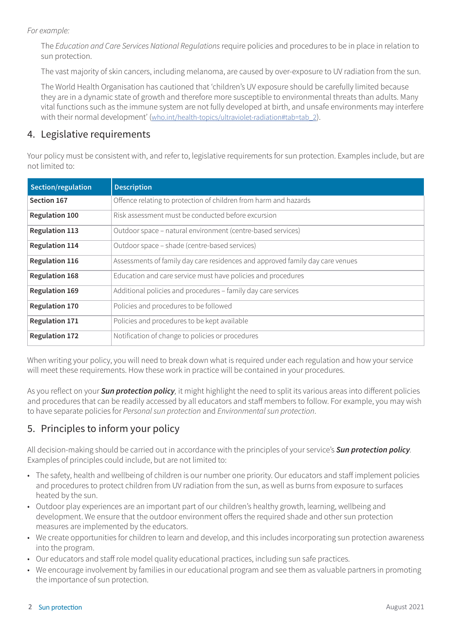*For example:* 

The *Education and Care Services National Regulations* require policies and procedures to be in place in relation to sun protection.

The vast majority of skin cancers, including [melanoma](https://cancerqld.org.au/glossary/melanoma/), are caused by over-exposure to [UV radiation](https://cancerqld.org.au/glossary/ultraviolet-uv-radiation/) from the sun.

The World Health Organisation has cautioned that 'children's UV exposure should be carefully limited because they are in a dynamic state of growth and therefore more susceptible to environmental threats than adults. Many vital functions such as the immune system are not fully developed at birth, and unsafe environments may interfere with their normal development' ([who.int/health-topics/ultraviolet-radiation#tab=tab\\_2](https://www.who.int/health-topics/ultraviolet-radiation#tab=tab_2)).

## 4. Legislative requirements

Your policy must be consistent with, and refer to, legislative requirements for sun protection. Examples include, but are not limited to:

| Section/regulation    | <b>Description</b>                                                            |
|-----------------------|-------------------------------------------------------------------------------|
| Section 167           | Offence relating to protection of children from harm and hazards              |
| <b>Regulation 100</b> | Risk assessment must be conducted before excursion                            |
| <b>Regulation 113</b> | Outdoor space - natural environment (centre-based services)                   |
| <b>Regulation 114</b> | Outdoor space - shade (centre-based services)                                 |
| <b>Regulation 116</b> | Assessments of family day care residences and approved family day care venues |
| <b>Regulation 168</b> | Education and care service must have policies and procedures                  |
| <b>Regulation 169</b> | Additional policies and procedures - family day care services                 |
| <b>Regulation 170</b> | Policies and procedures to be followed                                        |
| <b>Regulation 171</b> | Policies and procedures to be kept available                                  |
| <b>Regulation 172</b> | Notification of change to policies or procedures                              |

When writing your policy, you will need to break down what is required under each regulation and how your service will meet these requirements. How these work in practice will be contained in your procedures.

As you reflect on your *Sun protection policy,* it might highlight the need to split its various areas into different policies and procedures that can be readily accessed by all educators and staff members to follow. For example, you may wish to have separate policies for *Personal sun protection* and *Environmental sun protection*.

# 5. Principles to inform your policy

All decision-making should be carried out in accordance with the principles of your service's *Sun protection policy.*  Examples of principles could include, but are not limited to:

- The safety, health and wellbeing of children is our number one priority. Our educators and staff implement policies and procedures to protect children from UV radiation from the sun, as well as burns from exposure to surfaces heated by the sun.
- Outdoor play experiences are an important part of our children's healthy growth, learning, wellbeing and development. We ensure that the outdoor environment offers the required shade and other sun protection measures are implemented by the educators.
- We create opportunities for children to learn and develop, and this includes incorporating sun protection awareness into the program.
- Our educators and staff role model quality educational practices, including sun safe practices.
- We encourage involvement by families in our educational program and see them as valuable partners in promoting the importance of sun protection.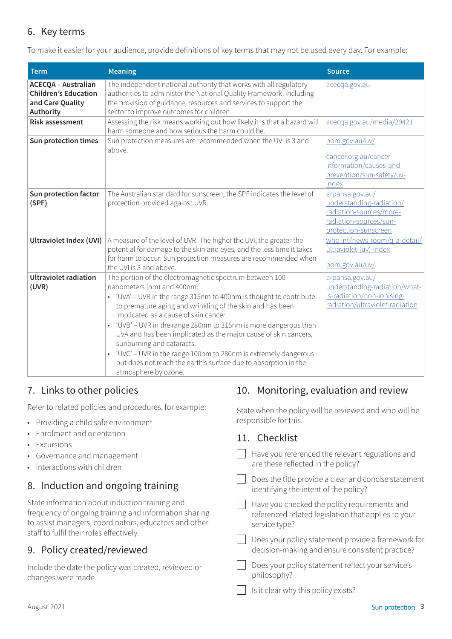# 6. Key terms

To make it easier for your audience, provide definitions of key terms that may not be used every day. For example:

| <b>Term</b>                                                                                | <b>Meaning</b>                                                                                                                                                                                                                                                                                                                                                                                                                                                                                                                                                                                                             | <b>Source</b>                                                                                                            |
|--------------------------------------------------------------------------------------------|----------------------------------------------------------------------------------------------------------------------------------------------------------------------------------------------------------------------------------------------------------------------------------------------------------------------------------------------------------------------------------------------------------------------------------------------------------------------------------------------------------------------------------------------------------------------------------------------------------------------------|--------------------------------------------------------------------------------------------------------------------------|
| <b>ACECQA - Australian</b><br><b>Children's Education</b><br>and Care Quality<br>Authority | The independent national authority that works with all regulatory<br>authorities to administer the National Quality Framework, including<br>the provision of guidance, resources and services to support the<br>sector to improve outcomes for children.                                                                                                                                                                                                                                                                                                                                                                   | acecqa.gov.au                                                                                                            |
| <b>Risk assessment</b>                                                                     | Assessing the risk means working out how likely it is that a hazard will<br>harm someone and how serious the harm could be.                                                                                                                                                                                                                                                                                                                                                                                                                                                                                                | acecqa.gov.au/media/29421                                                                                                |
| Sun protection times                                                                       | Sun protection measures are recommended when the UVI is 3 and<br>above.                                                                                                                                                                                                                                                                                                                                                                                                                                                                                                                                                    | bom.gov.au/uv/<br>cancer.org.au/cancer-<br>information/causes-and-<br>prevention/sun-safety/uv-<br>index                 |
| Sun protection factor<br>(SPF)                                                             | The Australian standard for sunscreen, the SPF indicates the level of<br>protection provided against UVR.                                                                                                                                                                                                                                                                                                                                                                                                                                                                                                                  | arpansa.gov.au/<br>understanding-radiation/<br>radiation-sources/more-<br>radiation-sources/sun-<br>protection-sunscreen |
| <b>Ultraviolet Index (UVI)</b>                                                             | A measure of the level of UVR. The higher the UVI, the greater the<br>potential for damage to the skin and eyes, and the less time it takes<br>for harm to occur. Sun protection measures are recommended when<br>the UVI is 3 and above.                                                                                                                                                                                                                                                                                                                                                                                  | who.int/news-room/q-a-detail/<br>ultraviolet-(uv)-index<br>bom.gov.au/uv/                                                |
| <b>Ultraviolet radiation</b><br>(UVR)                                                      | The portion of the electromagnetic spectrum between 100<br>nanometers (nm) and 400nm:<br>• 'UVA' – UVR in the range 315nm to 400nm is thought to contribute<br>to premature aging and wrinkling of the skin and has been<br>implicated as a cause of skin cancer.<br>'UVB' - UVR in the range 280nm to 315nm is more dangerous than<br>$\bullet$<br>UVA and has been implicated as the major cause of skin cancers,<br>sunburning and cataracts.<br>'UVC' - UVR in the range 100nm to 280nm is extremely dangerous<br>$\bullet$<br>but does not reach the earth's surface due to absorption in the<br>atmosphere by ozone. | arpansa.gov.au/<br>understanding-radiation/what-<br>is-radiation/non-ionising-<br>radiation/ultraviolet-radiation        |

# 7. Links to other policies

Refer to related policies and procedures, for example:

- Providing a child safe environment
- Enrolment and orientation
- **Excursions**
- Governance and management
- Interactions with children

# 8. Induction and ongoing training

State information about induction training and frequency of ongoing training and information sharing to assist managers, coordinators, educators and other staff to fulfil their roles effectively.

# 9. Policy created/reviewed

Include the date the policy was created, reviewed or changes were made.

# 10. Monitoring, evaluation and review

State when the policy will be reviewed and who will be responsible for this.

#### 11. Checklist

| Have you referenced the relevant regulations and |  |
|--------------------------------------------------|--|
| are these reflected in the policy?               |  |

 $\Box$  Does the title provide a clear and concise statement identifying the intent of the policy?

Have you checked the policy requirements and referenced related legislation that applies to your service type?

Does your policy statement provide a framework for decision-making and ensure consistent practice?

**Does your policy statement reflect your service's** philosophy?

Is it clear why this policy exists?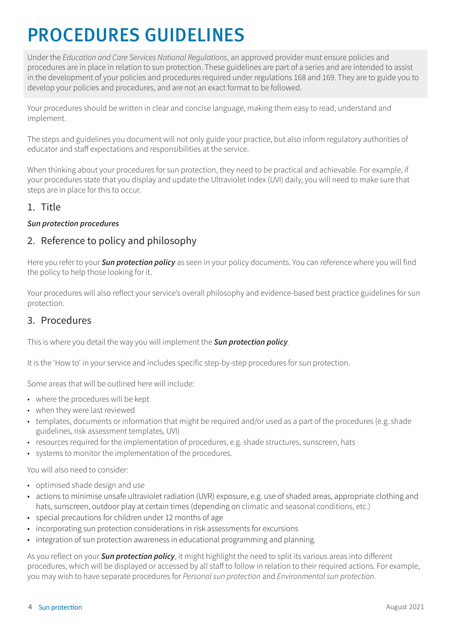# PROCEDURES GUIDELINES

Under the *Education and Care Services National Regulations*, an approved provider must ensure policies and procedures are in place in relation to sun protection. These guidelines are part of a series and are intended to assist in the development of your policies and procedures required under regulations 168 and 169. They are to guide you to develop your policies and procedures, and are not an exact format to be followed.

Your procedures should be written in clear and concise language, making them easy to read, understand and implement.

The steps and guidelines you document will not only guide your practice, but also inform regulatory authorities of educator and staff expectations and responsibilities at the service.

When thinking about your procedures for sun protection, they need to be practical and achievable. For example, if your procedures state that you display and update the Ultraviolet Index (UVI) daily, you will need to make sure that steps are in place for this to occur.

# 1. Title

#### *Sun protection procedures*

#### 2. Reference to policy and philosophy

Here you refer to your *Sun protection policy* as seen in your policy documents. You can reference where you will find the policy to help those looking for it.

Your procedures will also reflect your service's overall philosophy and evidence-based best practice guidelines for sun protection.

#### 3. Procedures

This is where you detail the way you will implement the *Sun protection policy.*

It is the 'How to' in your service and includes specific step-by-step procedures for sun protection.

Some areas that will be outlined here will include:

- where the procedures will be kept
- when they were last reviewed
- templates, documents or information that might be required and/or used as a part of the procedures (e.g. shade guidelines, risk assessment templates, UVI)
- resources required for the implementation of procedures, e.g. shade structures, sunscreen, hats
- systems to monitor the implementation of the procedures.

You will also need to consider:

- optimised shade design and use
- actions to minimise unsafe ultraviolet radiation (UVR) exposure, e.g. use of shaded areas, appropriate clothing and hats, sunscreen, outdoor play at certain times (depending on climatic and seasonal conditions, etc.)
- special precautions for children under 12 months of age
- incorporating sun protection considerations in risk assessments for excursions
- integration of sun protection awareness in educational programming and planning.

As you reflect on your *Sun protection policy*, it might highlight the need to split its various areas into different procedures, which will be displayed or accessed by all staff to follow in relation to their required actions. For example, you may wish to have separate procedures for *Personal sun protection* and *Environmental sun protection*.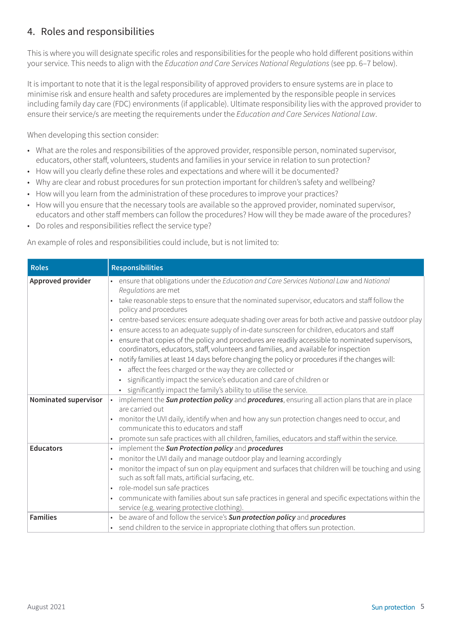# 4. Roles and responsibilities

This is where you will designate specific roles and responsibilities for the people who hold different positions within your service. This needs to align with the *Education and Care Services National Regulations* (see pp. 6–7 below).

It is important to note that it is the legal responsibility of approved providers to ensure systems are in place to minimise risk and ensure health and safety procedures are implemented by the responsible people in services including family day care (FDC) environments (if applicable). Ultimate responsibility lies with the approved provider to ensure their service/s are meeting the requirements under the *Education and Care Services National Law*.

When developing this section consider:

- What are the roles and responsibilities of the approved provider, responsible person, nominated supervisor, educators, other staff, volunteers, students and families in your service in relation to sun protection?
- How will you clearly define these roles and expectations and where will it be documented?
- Why are clear and robust procedures for sun protection important for children's safety and wellbeing?
- How will you learn from the administration of these procedures to improve your practices?
- How will you ensure that the necessary tools are available so the approved provider, nominated supervisor, educators and other staff members can follow the procedures? How will they be made aware of the procedures?
- Do roles and responsibilities reflect the service type?

An example of roles and responsibilities could include, but is not limited to:

| <b>Roles</b>                        | <b>Responsibilities</b>                                                                                                                                                                                                                                                                                                                                                                                                                                                                                                                                                                                                                                                                                                                                                                                                                                                                                                                                                         |
|-------------------------------------|---------------------------------------------------------------------------------------------------------------------------------------------------------------------------------------------------------------------------------------------------------------------------------------------------------------------------------------------------------------------------------------------------------------------------------------------------------------------------------------------------------------------------------------------------------------------------------------------------------------------------------------------------------------------------------------------------------------------------------------------------------------------------------------------------------------------------------------------------------------------------------------------------------------------------------------------------------------------------------|
| Approved provider                   | • ensure that obligations under the Education and Care Services National Law and National<br>Regulations are met<br>• take reasonable steps to ensure that the nominated supervisor, educators and staff follow the<br>policy and procedures<br>• centre-based services: ensure adequate shading over areas for both active and passive outdoor play<br>• ensure access to an adequate supply of in-date sunscreen for children, educators and staff<br>ensure that copies of the policy and procedures are readily accessible to nominated supervisors,<br>coordinators, educators, staff, volunteers and families, and available for inspection<br>• notify families at least 14 days before changing the policy or procedures if the changes will:<br>• affect the fees charged or the way they are collected or<br>• significantly impact the service's education and care of children or<br>significantly impact the family's ability to utilise the service.<br>$\bullet$ |
| Nominated supervisor                | • implement the <i>Sun protection policy</i> and <i>procedures</i> , ensuring all action plans that are in place<br>are carried out<br>• monitor the UVI daily, identify when and how any sun protection changes need to occur, and<br>communicate this to educators and staff<br>promote sun safe practices with all children, families, educators and staff within the service.                                                                                                                                                                                                                                                                                                                                                                                                                                                                                                                                                                                               |
| <b>Educators</b><br><b>Families</b> | • implement the Sun Protection policy and procedures<br>• monitor the UVI daily and manage outdoor play and learning accordingly<br>monitor the impact of sun on play equipment and surfaces that children will be touching and using<br>such as soft fall mats, artificial surfacing, etc.<br>• role-model sun safe practices<br>• communicate with families about sun safe practices in general and specific expectations within the<br>service (e.g. wearing protective clothing).<br>be aware of and follow the service's Sun protection policy and procedures                                                                                                                                                                                                                                                                                                                                                                                                              |
|                                     | • send children to the service in appropriate clothing that offers sun protection.                                                                                                                                                                                                                                                                                                                                                                                                                                                                                                                                                                                                                                                                                                                                                                                                                                                                                              |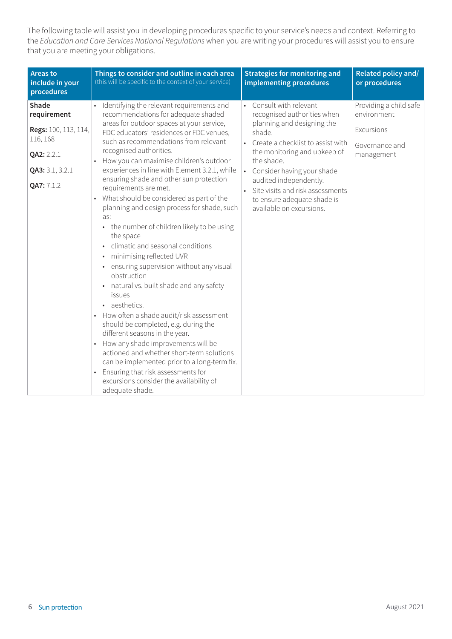The following table will assist you in developing procedures specific to your service's needs and context. Referring to the *Education and Care Services National Regulations* when you are writing your procedures will assist you to ensure that you are meeting your obligations.

| <b>Areas to</b><br>include in your<br>procedures                                                        | Things to consider and outline in each area<br>(this will be specific to the context of your service)                                                                                                                                                                                                                                                                                                                                                                                                                                                                                                                                                                                                                                                                                                                                                                                                                                                                                                                                                                                                                                                              | <b>Strategies for monitoring and</b><br>implementing procedures                                                                                                                                                                                                                                                                              | Related policy and/<br>or procedures                                                |
|---------------------------------------------------------------------------------------------------------|--------------------------------------------------------------------------------------------------------------------------------------------------------------------------------------------------------------------------------------------------------------------------------------------------------------------------------------------------------------------------------------------------------------------------------------------------------------------------------------------------------------------------------------------------------------------------------------------------------------------------------------------------------------------------------------------------------------------------------------------------------------------------------------------------------------------------------------------------------------------------------------------------------------------------------------------------------------------------------------------------------------------------------------------------------------------------------------------------------------------------------------------------------------------|----------------------------------------------------------------------------------------------------------------------------------------------------------------------------------------------------------------------------------------------------------------------------------------------------------------------------------------------|-------------------------------------------------------------------------------------|
| Shade<br>requirement<br>Regs: 100, 113, 114,<br>116, 168<br>QA2: 2.2.1<br>QA3: 3.1, 3.2.1<br>QA7: 7.1.2 | Identifying the relevant requirements and<br>recommendations for adequate shaded<br>areas for outdoor spaces at your service,<br>FDC educators' residences or FDC venues,<br>such as recommendations from relevant<br>recognised authorities.<br>How you can maximise children's outdoor<br>experiences in line with Element 3.2.1, while<br>ensuring shade and other sun protection<br>requirements are met.<br>What should be considered as part of the<br>planning and design process for shade, such<br>as:<br>• the number of children likely to be using<br>the space<br>climatic and seasonal conditions<br>minimising reflected UVR<br>$\bullet$<br>ensuring supervision without any visual<br>$\bullet$<br>obstruction<br>• natural vs. built shade and any safety<br>issues<br>• aesthetics.<br>How often a shade audit/risk assessment<br>should be completed, e.g. during the<br>different seasons in the year.<br>How any shade improvements will be<br>actioned and whether short-term solutions<br>can be implemented prior to a long-term fix.<br>Ensuring that risk assessments for<br>excursions consider the availability of<br>adequate shade. | • Consult with relevant<br>recognised authorities when<br>planning and designing the<br>shade.<br>• Create a checklist to assist with<br>the monitoring and upkeep of<br>the shade.<br>• Consider having your shade<br>audited independently.<br>Site visits and risk assessments<br>to ensure adequate shade is<br>available on excursions. | Providing a child safe<br>environment<br>Excursions<br>Governance and<br>management |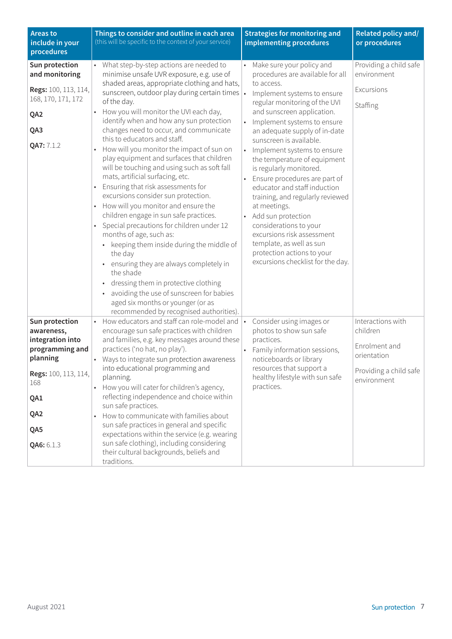| <b>Areas to</b><br>include in your<br>procedures                                                                                                  | Things to consider and outline in each area<br>(this will be specific to the context of your service)                                                                                                                                                                                                                                                                                                                                                                                                                                                                                                                                                                                                                                                                                                                                                                                                                                                                                                                                                                                                                                  | <b>Strategies for monitoring and</b><br>implementing procedures                                                                                                                                                                                                                                                                                                                                                                                                                                                                                                                                                                                                                                                      | Related policy and/<br>or procedures                                                                   |
|---------------------------------------------------------------------------------------------------------------------------------------------------|----------------------------------------------------------------------------------------------------------------------------------------------------------------------------------------------------------------------------------------------------------------------------------------------------------------------------------------------------------------------------------------------------------------------------------------------------------------------------------------------------------------------------------------------------------------------------------------------------------------------------------------------------------------------------------------------------------------------------------------------------------------------------------------------------------------------------------------------------------------------------------------------------------------------------------------------------------------------------------------------------------------------------------------------------------------------------------------------------------------------------------------|----------------------------------------------------------------------------------------------------------------------------------------------------------------------------------------------------------------------------------------------------------------------------------------------------------------------------------------------------------------------------------------------------------------------------------------------------------------------------------------------------------------------------------------------------------------------------------------------------------------------------------------------------------------------------------------------------------------------|--------------------------------------------------------------------------------------------------------|
| Sun protection<br>and monitoring<br>Regs: 100, 113, 114,<br>168, 170, 171, 172<br>QA <sub>2</sub><br>QA3<br>QA7: 7.1.2                            | • What step-by-step actions are needed to<br>minimise unsafe UVR exposure, e.g. use of<br>shaded areas, appropriate clothing and hats,<br>sunscreen, outdoor play during certain times  .<br>of the day.<br>How you will monitor the UVI each day,<br>identify when and how any sun protection<br>changes need to occur, and communicate<br>this to educators and staff.<br>How will you monitor the impact of sun on<br>play equipment and surfaces that children<br>will be touching and using such as soft fall<br>mats, artificial surfacing, etc.<br>Ensuring that risk assessments for<br>$\bullet$<br>excursions consider sun protection.<br>How will you monitor and ensure the<br>$\bullet$<br>children engage in sun safe practices.<br>Special precautions for children under 12<br>$\bullet$<br>months of age, such as:<br>• keeping them inside during the middle of<br>the day<br>• ensuring they are always completely in<br>the shade<br>dressing them in protective clothing<br>avoiding the use of sunscreen for babies<br>$\bullet$<br>aged six months or younger (or as<br>recommended by recognised authorities). | Make sure your policy and<br>$\bullet$<br>procedures are available for all<br>to access.<br>Implement systems to ensure<br>regular monitoring of the UVI<br>and sunscreen application.<br>Implement systems to ensure<br>$\bullet$<br>an adequate supply of in-date<br>sunscreen is available.<br>Implement systems to ensure<br>$\bullet$<br>the temperature of equipment<br>is regularly monitored.<br>Ensure procedures are part of<br>educator and staff induction<br>training, and regularly reviewed<br>at meetings.<br>Add sun protection<br>$\bullet$<br>considerations to your<br>excursions risk assessment<br>template, as well as sun<br>protection actions to your<br>excursions checklist for the day. | Providing a child safe<br>environment<br>Excursions<br>Staffing                                        |
| Sun protection<br>awareness,<br>integration into<br>programming and<br>planning<br>Regs: 100, 113, 114,<br>168<br>QA1<br>QA2<br>QA5<br>QA6: 6.1.3 | How educators and staff can role-model and<br>encourage sun safe practices with children<br>and families, e.g. key messages around these<br>practices ('no hat, no play').<br>Ways to integrate sun protection awareness<br>$\bullet$<br>into educational programming and<br>planning.<br>How you will cater for children's agency,<br>$\bullet$<br>reflecting independence and choice within<br>sun safe practices.<br>How to communicate with families about<br>sun safe practices in general and specific<br>expectations within the service (e.g. wearing<br>sun safe clothing), including considering<br>their cultural backgrounds, beliefs and<br>traditions.                                                                                                                                                                                                                                                                                                                                                                                                                                                                   | Consider using images or<br>photos to show sun safe<br>practices.<br>Family information sessions,<br>$\bullet$<br>noticeboards or library<br>resources that support a<br>healthy lifestyle with sun safe<br>practices.                                                                                                                                                                                                                                                                                                                                                                                                                                                                                               | Interactions with<br>children<br>Enrolment and<br>orientation<br>Providing a child safe<br>environment |